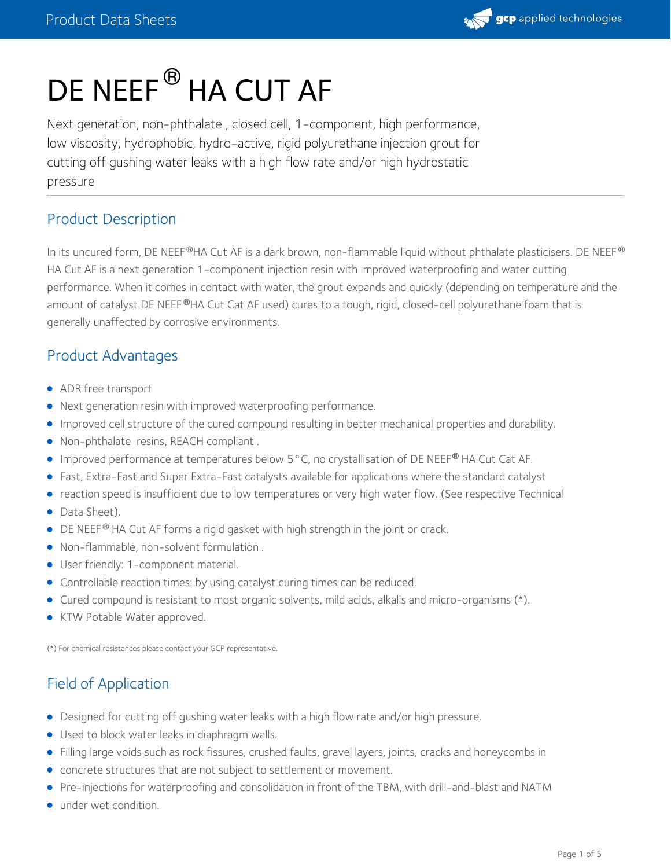

# DE NEEF $^\circledR$  HA CUT AF

Next generation, non-phthalate , closed cell, 1-component, high performance, low viscosity, hydrophobic, hydro-active, rigid polyurethane injection grout for cutting off gushing water leaks with a high flow rate and/or high hydrostatic pressure

## Product Description

In its uncured form, DE NEEF®HA Cut AF is a dark brown, non-flammable liquid without phthalate plasticisers. DE NEEF® HA Cut AF is a next generation 1-component injection resin with improved waterproofing and water cutting performance. When it comes in contact with water, the grout expands and quickly (depending on temperature and the amount of catalyst DE NEEF®HA Cut Cat AF used) cures to a tough, rigid, closed-cell polyurethane foam that is generally unaffected by corrosive environments.

#### Product Advantages

- ADR free transport
- Next generation resin with improved waterproofing performance.
- Improved cell structure of the cured compound resulting in better mechanical properties and durability.
- Non-phthalate resins, REACH compliant .
- Improved performance at temperatures below 5 °C, no crystallisation of DE NEEF® HA Cut Cat AF.
- Fast, Extra-Fast and Super Extra-Fast catalysts available for applications where the standard catalyst
- reaction speed is insufficient due to low temperatures or very high water flow. (See respective Technical
- Data Sheet).
- $\bullet$  DE NEEF<sup>®</sup> HA Cut AF forms a rigid gasket with high strength in the joint or crack.
- Non-flammable, non-solvent formulation .
- User friendly: 1-component material.
- Controllable reaction times: by using catalyst curing times can be reduced.
- Cured compound is resistant to most organic solvents, mild acids, alkalis and micro-organisms (\*).
- **KTW Potable Water approved.**

(\*) For chemical resistances please contact your GCP representative.

## Field of Application

- Designed for cutting off gushing water leaks with a high flow rate and/or high pressure.
- Used to block water leaks in diaphragm walls.
- Filling large voids such as rock fissures, crushed faults, gravel layers, joints, cracks and honeycombs in
- concrete structures that are not subject to settlement or movement.
- Pre-injections for waterproofing and consolidation in front of the TBM, with drill-and-blast and NATM
- under wet condition.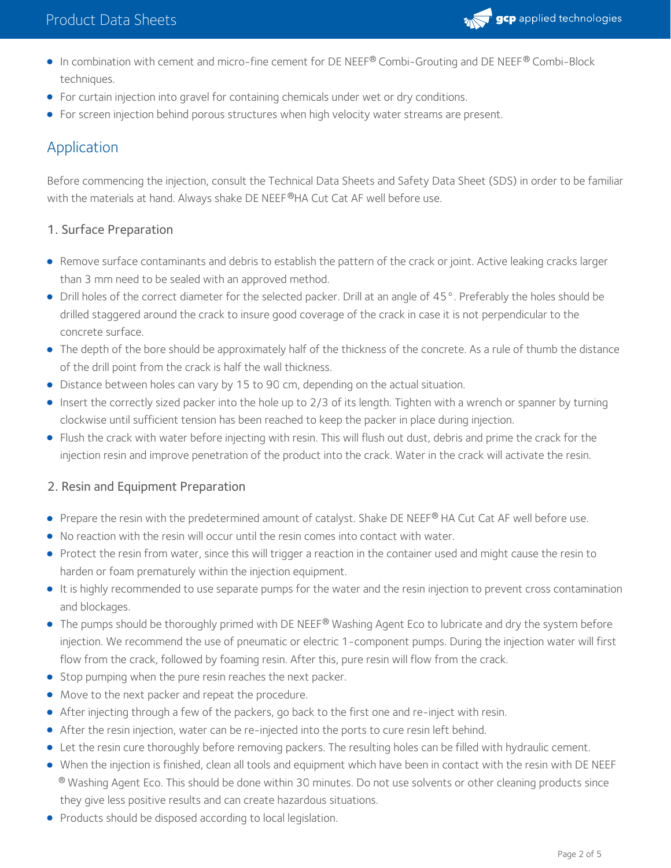

- In combination with cement and micro-fine cement for DE NEEF® Combi-Grouting and DE NEEF® Combi-Block techniques.
- For curtain injection into gravel for containing chemicals under wet or dry conditions.
- For screen injection behind porous structures when high velocity water streams are present.

## Application

Before commencing the injection, consult the Technical Data Sheets and Safety Data Sheet (SDS) in order to be familiar with the materials at hand. Always shake DE NEEF®HA Cut Cat AF well before use.

#### 1. Surface Preparation

- Remove surface contaminants and debris to establish the pattern of the crack or joint. Active leaking cracks larger than 3 mm need to be sealed with an approved method.
- Drill holes of the correct diameter for the selected packer. Drill at an angle of 45°. Preferably the holes should be drilled staggered around the crack to insure good coverage of the crack in case it is not perpendicular to the concrete surface.
- The depth of the bore should be approximately half of the thickness of the concrete. As a rule of thumb the distance of the drill point from the crack is half the wall thickness.
- Distance between holes can vary by 15 to 90 cm, depending on the actual situation.
- Insert the correctly sized packer into the hole up to 2/3 of its length. Tighten with a wrench or spanner by turning clockwise until sufficient tension has been reached to keep the packer in place during injection.
- Flush the crack with water before injecting with resin. This will flush out dust, debris and prime the crack for the injection resin and improve penetration of the product into the crack. Water in the crack will activate the resin.

#### 2. Resin and Equipment Preparation

- Prepare the resin with the predetermined amount of catalyst. Shake DE NEEF® HA Cut Cat AF well before use.
- No reaction with the resin will occur until the resin comes into contact with water.
- Protect the resin from water, since this will trigger a reaction in the container used and might cause the resin to harden or foam prematurely within the injection equipment.
- It is highly recommended to use separate pumps for the water and the resin injection to prevent cross contamination and blockages.
- The pumps should be thoroughly primed with DE NEEF® Washing Agent Eco to lubricate and dry the system before  $\,$ injection. We recommend the use of pneumatic or electric 1-component pumps. During the injection water will first flow from the crack, followed by foaming resin. After this, pure resin will flow from the crack.
- **Stop pumping when the pure resin reaches the next packer.**
- Move to the next packer and repeat the procedure.
- After injecting through a few of the packers, go back to the first one and re-inject with resin.
- After the resin injection, water can be re-injected into the ports to cure resin left behind.
- Let the resin cure thoroughly before removing packers. The resulting holes can be filled with hydraulic cement.
- When the injection is finished, clean all tools and equipment which have been in contact with the resin with DE NEEF  $^\circledR$  Washing Agent Eco. This should be done within 30 minutes. Do not use solvents or other cleaning products since they give less positive results and can create hazardous situations.
- Products should be disposed according to local legislation.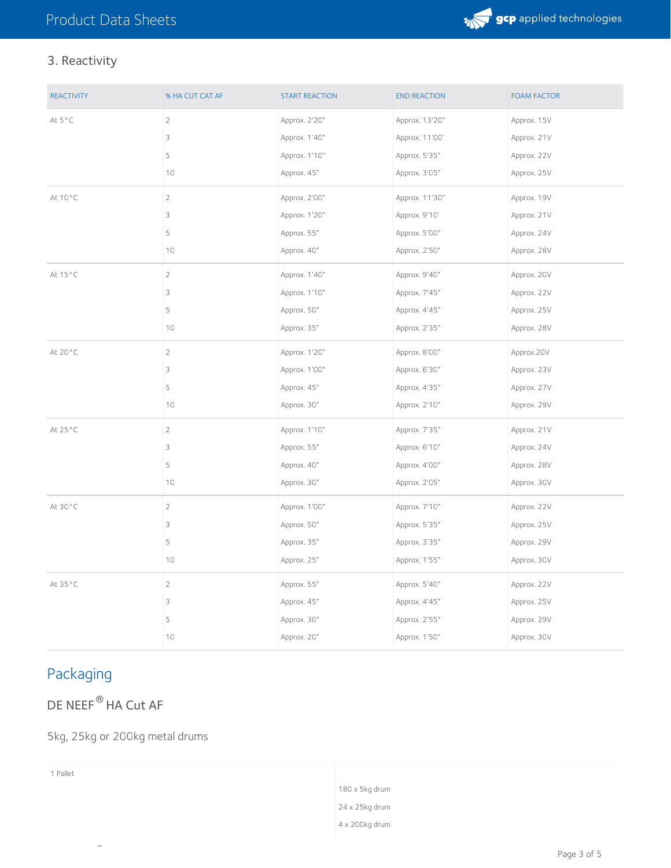

## 3. Reactivity

| <b>REACTIVITY</b> | % HA CUT CAT AF | <b>START REACTION</b> | <b>END REACTION</b> | <b>FOAM FACTOR</b> |
|-------------------|-----------------|-----------------------|---------------------|--------------------|
| At 5°C            | $\overline{c}$  | Approx. 2'20"         | Approx. 13'20"      | Approx. 15V        |
|                   | 3               | Approx. 1'40"         | Approx. 11'00'      | Approx. 21V        |
|                   | 5               | Approx. 1'10"         | Approx. 5'35"       | Approx. 22V        |
|                   | 10              | Approx. 45"           | Approx. 3'05"       | Approx. 25V        |
| At 10°C           | $\overline{2}$  | Approx. 2'00"         | Approx. 11'30"      | Approx. 19V        |
|                   | 3               | Approx. 1'20"         | Approx. 9'10'       | Approx. 21V        |
|                   | 5               | Approx. 55"           | Approx. 5'00"       | Approx. 24V        |
|                   | 10              | Approx. 40"           | Approx. 2'50"       | Approx. 28V        |
| At 15°C           | $\overline{c}$  | Approx. 1'40"         | Approx. 9'40"       | Approx. 20V        |
|                   | 3               | Approx. 1'10"         | Approx. 7'45"       | Approx. 22V        |
|                   | 5               | Approx. 50"           | Approx. 4'45"       | Approx. 25V        |
|                   | 10              | Approx. 35"           | Approx. 2'35"       | Approx. 28V        |
| At 20°C           | $\overline{2}$  | Approx. 1'20"         | Approx. 8'00"       | Approx.20V         |
|                   | 3               | Approx. 1'00"         | Approx. 6'30"       | Approx. 23V        |
|                   | 5               | Approx. 45"           | Approx. 4'35"       | Approx. 27V        |
|                   | 10              | Approx. 30"           | Approx. 2'10"       | Approx. 29V        |
| At 25°C           | $\overline{2}$  | Approx. 1'10"         | Approx. 7'35"       | Approx. 21V        |
|                   | 3               | Approx. 55"           | Approx. 6'10"       | Approx. 24V        |
|                   | 5               | Approx. 40"           | Approx. 4'00"       | Approx. 28V        |
|                   | 10              | Approx. 30"           | Approx. 2'05"       | Approx. 30V        |
| At 30°C           | $\overline{2}$  | Approx. 1'00"         | Approx. 7'10"       | Approx. 22V        |
|                   | 3               | Approx. 50"           | Approx. 5'35"       | Approx. 25V        |
|                   | 5               | Approx. 35"           | Approx. 3'35"       | Approx. 29V        |
|                   | 10              | Approx. 25"           | Approx. 1'55"       | Approx. 30V        |
| At 35°C           | $\overline{2}$  | Approx. 55"           | Approx. 5'40"       | Approx. 22V        |
|                   | 3               | Approx. 45"           | Approx. 4'45"       | Approx. 25V        |
|                   | 5               | Approx. 30"           | Approx. 2'55"       | Approx. 29V        |
|                   | 10              | Approx. 20"           | Approx. 1'50"       | Approx. 30V        |

## Packaging

## DE NEEF<sup>®</sup> HA Cut AF

#### 5kg, 25kg or 200kg metal drums

®

| Pallet |                |
|--------|----------------|
|        | 180 x 5kg drum |
|        | 24 x 25kg drum |
|        | 4 x 200kg drum |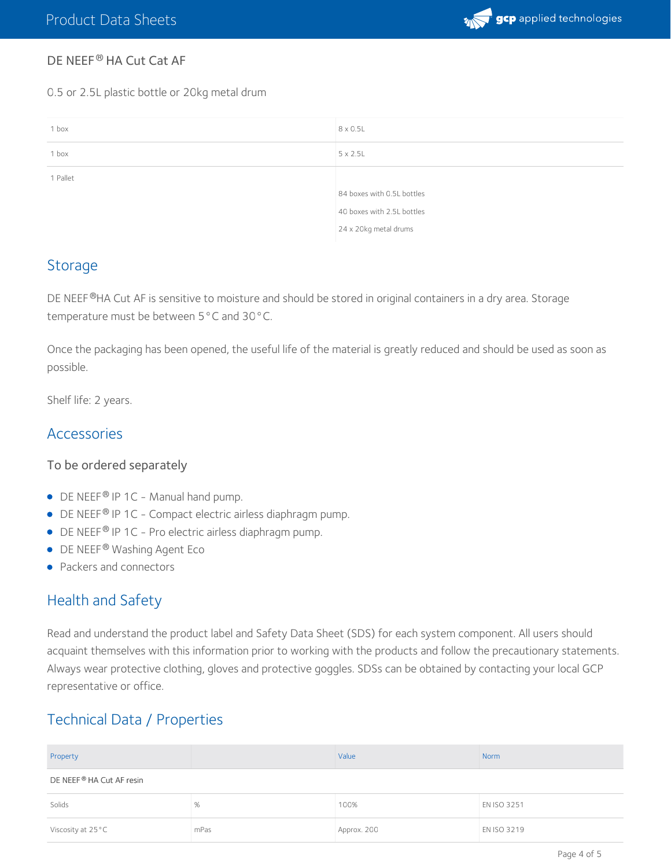

#### DE NEEF® HA Cut Cat AF

0.5 or 2.5L plastic bottle or 20kg metal drum

| 1 box    | 8 x 0.5L                   |
|----------|----------------------------|
| 1 box    | $5 \times 2.5$ L           |
| 1 Pallet |                            |
|          | 84 boxes with 0.5L bottles |
|          | 40 boxes with 2.5L bottles |
|          | 24 x 20kg metal drums      |

#### **Storage**

DE NEEF®HA Cut AF is sensitive to moisture and should be stored in original containers in a dry area. Storage temperature must be between 5°C and 30°C.

Once the packaging has been opened, the useful life of the material is greatly reduced and should be used as soon as possible.

Shelf life: 2 years.

#### Accessories

#### To be ordered separately

- $\bullet$  DE NEEF® IP 1C Manual hand pump.
- $\bullet$  DE NEEF<sup>®</sup> IP 1C Compact electric airless diaphragm pump.
- $\bullet$  DE NEEF<sup>®</sup> IP 1C Pro electric airless diaphragm pump.
- DE NEEF® Washing Agent Eco
- Packers and connectors

#### Health and Safety

Read and understand the product label and Safety Data Sheet (SDS) for each system component. All users should acquaint themselves with this information prior to working with the products and follow the precautionary statements. Always wear protective clothing, gloves and protective goggles. SDSs can be obtained by contacting your local GCP representative or office.

## Technical Data / Properties

| Property                 |      | Value       | Norm        |  |
|--------------------------|------|-------------|-------------|--|
| DE NEEF® HA Cut AF resin |      |             |             |  |
| Solids                   | %    | 100%        | EN ISO 3251 |  |
| Viscosity at 25°C        | mPas | Approx. 200 | EN ISO 3219 |  |